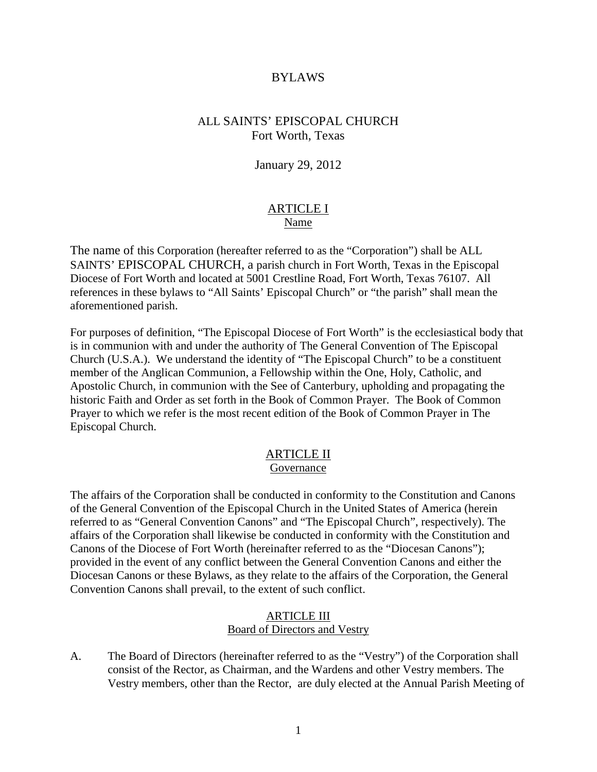#### BYLAWS

### ALL SAINTS' EPISCOPAL CHURCH Fort Worth, Texas

January 29, 2012

### ARTICLE I Name

The name of this Corporation (hereafter referred to as the "Corporation") shall be ALL SAINTS' EPISCOPAL CHURCH, a parish church in Fort Worth, Texas in the Episcopal Diocese of Fort Worth and located at 5001 Crestline Road, Fort Worth, Texas 76107. All references in these bylaws to "All Saints' Episcopal Church" or "the parish" shall mean the aforementioned parish.

For purposes of definition, "The Episcopal Diocese of Fort Worth" is the ecclesiastical body that is in communion with and under the authority of The General Convention of The Episcopal Church (U.S.A.). We understand the identity of "The Episcopal Church" to be a constituent member of the Anglican Communion, a Fellowship within the One, Holy, Catholic, and Apostolic Church, in communion with the See of Canterbury, upholding and propagating the historic Faith and Order as set forth in the Book of Common Prayer. The Book of Common Prayer to which we refer is the most recent edition of the Book of Common Prayer in The Episcopal Church.

# ARTICLE II

#### Governance

The affairs of the Corporation shall be conducted in conformity to the Constitution and Canons of the General Convention of the Episcopal Church in the United States of America (herein referred to as "General Convention Canons" and "The Episcopal Church", respectively). The affairs of the Corporation shall likewise be conducted in conformity with the Constitution and Canons of the Diocese of Fort Worth (hereinafter referred to as the "Diocesan Canons"); provided in the event of any conflict between the General Convention Canons and either the Diocesan Canons or these Bylaws, as they relate to the affairs of the Corporation, the General Convention Canons shall prevail, to the extent of such conflict.

#### ARTICLE III Board of Directors and Vestry

A. The Board of Directors (hereinafter referred to as the "Vestry") of the Corporation shall consist of the Rector, as Chairman, and the Wardens and other Vestry members. The Vestry members, other than the Rector, are duly elected at the Annual Parish Meeting of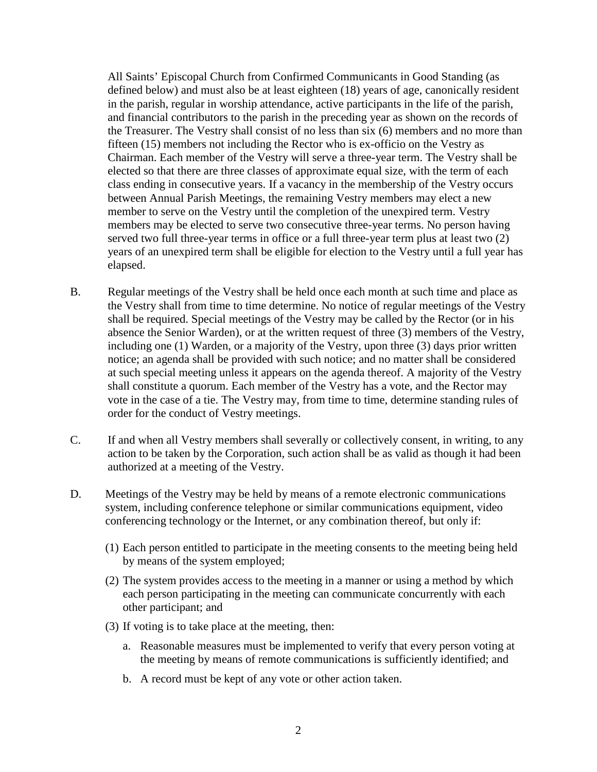All Saints' Episcopal Church from Confirmed Communicants in Good Standing (as defined below) and must also be at least eighteen (18) years of age, canonically resident in the parish, regular in worship attendance, active participants in the life of the parish, and financial contributors to the parish in the preceding year as shown on the records of the Treasurer. The Vestry shall consist of no less than six (6) members and no more than fifteen (15) members not including the Rector who is ex-officio on the Vestry as Chairman. Each member of the Vestry will serve a three-year term. The Vestry shall be elected so that there are three classes of approximate equal size, with the term of each class ending in consecutive years. If a vacancy in the membership of the Vestry occurs between Annual Parish Meetings, the remaining Vestry members may elect a new member to serve on the Vestry until the completion of the unexpired term. Vestry members may be elected to serve two consecutive three-year terms. No person having served two full three-year terms in office or a full three-year term plus at least two (2) years of an unexpired term shall be eligible for election to the Vestry until a full year has elapsed.

- B. Regular meetings of the Vestry shall be held once each month at such time and place as the Vestry shall from time to time determine. No notice of regular meetings of the Vestry shall be required. Special meetings of the Vestry may be called by the Rector (or in his absence the Senior Warden), or at the written request of three (3) members of the Vestry, including one (1) Warden, or a majority of the Vestry, upon three (3) days prior written notice; an agenda shall be provided with such notice; and no matter shall be considered at such special meeting unless it appears on the agenda thereof. A majority of the Vestry shall constitute a quorum. Each member of the Vestry has a vote, and the Rector may vote in the case of a tie. The Vestry may, from time to time, determine standing rules of order for the conduct of Vestry meetings.
- C. If and when all Vestry members shall severally or collectively consent, in writing, to any action to be taken by the Corporation, such action shall be as valid as though it had been authorized at a meeting of the Vestry.
- D. Meetings of the Vestry may be held by means of a remote electronic communications system, including conference telephone or similar communications equipment, video conferencing technology or the Internet, or any combination thereof, but only if:
	- (1) Each person entitled to participate in the meeting consents to the meeting being held by means of the system employed;
	- (2) The system provides access to the meeting in a manner or using a method by which each person participating in the meeting can communicate concurrently with each other participant; and
	- (3) If voting is to take place at the meeting, then:
		- a. Reasonable measures must be implemented to verify that every person voting at the meeting by means of remote communications is sufficiently identified; and
		- b. A record must be kept of any vote or other action taken.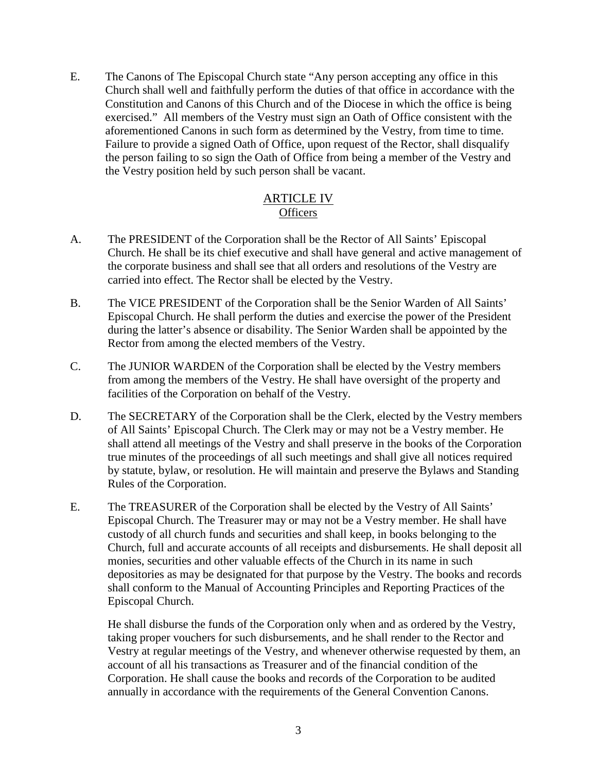E. The Canons of The Episcopal Church state "Any person accepting any office in this Church shall well and faithfully perform the duties of that office in accordance with the Constitution and Canons of this Church and of the Diocese in which the office is being exercised." All members of the Vestry must sign an Oath of Office consistent with the aforementioned Canons in such form as determined by the Vestry, from time to time. Failure to provide a signed Oath of Office, upon request of the Rector, shall disqualify the person failing to so sign the Oath of Office from being a member of the Vestry and the Vestry position held by such person shall be vacant.

# ARTICLE IV **Officers**

- A. The PRESIDENT of the Corporation shall be the Rector of All Saints' Episcopal Church. He shall be its chief executive and shall have general and active management of the corporate business and shall see that all orders and resolutions of the Vestry are carried into effect. The Rector shall be elected by the Vestry.
- B. The VICE PRESIDENT of the Corporation shall be the Senior Warden of All Saints' Episcopal Church. He shall perform the duties and exercise the power of the President during the latter's absence or disability. The Senior Warden shall be appointed by the Rector from among the elected members of the Vestry.
- C. The JUNIOR WARDEN of the Corporation shall be elected by the Vestry members from among the members of the Vestry. He shall have oversight of the property and facilities of the Corporation on behalf of the Vestry.
- D. The SECRETARY of the Corporation shall be the Clerk, elected by the Vestry members of All Saints' Episcopal Church. The Clerk may or may not be a Vestry member. He shall attend all meetings of the Vestry and shall preserve in the books of the Corporation true minutes of the proceedings of all such meetings and shall give all notices required by statute, bylaw, or resolution. He will maintain and preserve the Bylaws and Standing Rules of the Corporation.
- E. The TREASURER of the Corporation shall be elected by the Vestry of All Saints' Episcopal Church. The Treasurer may or may not be a Vestry member. He shall have custody of all church funds and securities and shall keep, in books belonging to the Church, full and accurate accounts of all receipts and disbursements. He shall deposit all monies, securities and other valuable effects of the Church in its name in such depositories as may be designated for that purpose by the Vestry. The books and records shall conform to the Manual of Accounting Principles and Reporting Practices of the Episcopal Church.

He shall disburse the funds of the Corporation only when and as ordered by the Vestry, taking proper vouchers for such disbursements, and he shall render to the Rector and Vestry at regular meetings of the Vestry, and whenever otherwise requested by them, an account of all his transactions as Treasurer and of the financial condition of the Corporation. He shall cause the books and records of the Corporation to be audited annually in accordance with the requirements of the General Convention Canons.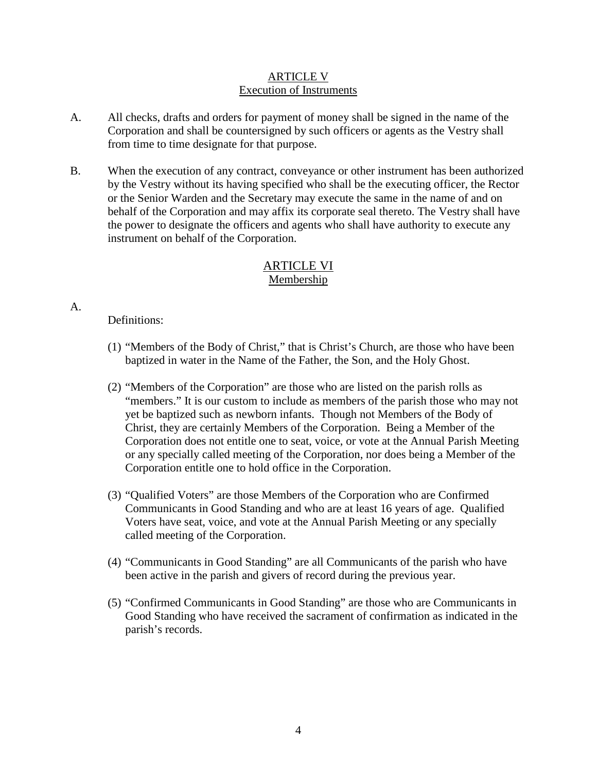# ARTICLE V Execution of Instruments

- A. All checks, drafts and orders for payment of money shall be signed in the name of the Corporation and shall be countersigned by such officers or agents as the Vestry shall from time to time designate for that purpose.
- B. When the execution of any contract, conveyance or other instrument has been authorized by the Vestry without its having specified who shall be the executing officer, the Rector or the Senior Warden and the Secretary may execute the same in the name of and on behalf of the Corporation and may affix its corporate seal thereto. The Vestry shall have the power to designate the officers and agents who shall have authority to execute any instrument on behalf of the Corporation.

# ARTICLE VI Membership

# Definitions:

A.

- (1) "Members of the Body of Christ," that is Christ's Church, are those who have been baptized in water in the Name of the Father, the Son, and the Holy Ghost.
- (2) "Members of the Corporation" are those who are listed on the parish rolls as "members." It is our custom to include as members of the parish those who may not yet be baptized such as newborn infants. Though not Members of the Body of Christ, they are certainly Members of the Corporation. Being a Member of the Corporation does not entitle one to seat, voice, or vote at the Annual Parish Meeting or any specially called meeting of the Corporation, nor does being a Member of the Corporation entitle one to hold office in the Corporation.
- (3) "Qualified Voters" are those Members of the Corporation who are Confirmed Communicants in Good Standing and who are at least 16 years of age. Qualified Voters have seat, voice, and vote at the Annual Parish Meeting or any specially called meeting of the Corporation.
- (4) "Communicants in Good Standing" are all Communicants of the parish who have been active in the parish and givers of record during the previous year.
- (5) "Confirmed Communicants in Good Standing" are those who are Communicants in Good Standing who have received the sacrament of confirmation as indicated in the parish's records.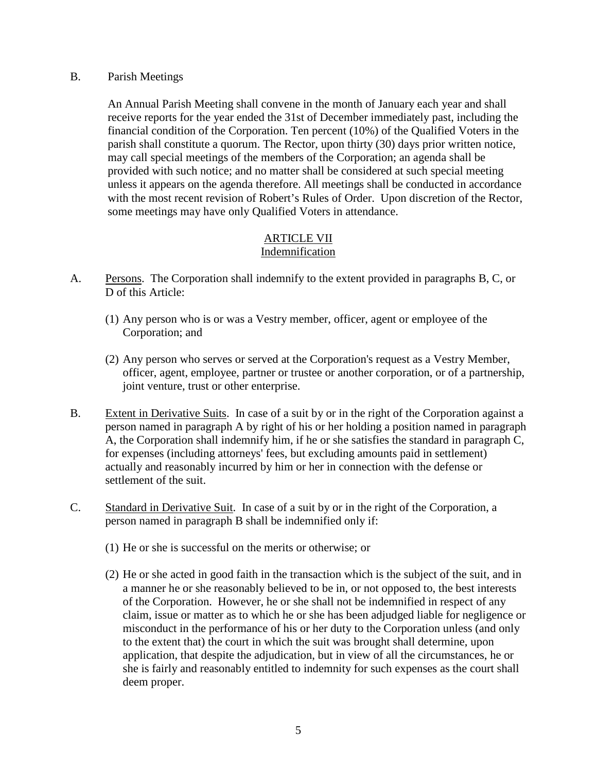B. Parish Meetings

An Annual Parish Meeting shall convene in the month of January each year and shall receive reports for the year ended the 31st of December immediately past, including the financial condition of the Corporation. Ten percent (10%) of the Qualified Voters in the parish shall constitute a quorum. The Rector, upon thirty (30) days prior written notice, may call special meetings of the members of the Corporation; an agenda shall be provided with such notice; and no matter shall be considered at such special meeting unless it appears on the agenda therefore. All meetings shall be conducted in accordance with the most recent revision of Robert's Rules of Order. Upon discretion of the Rector, some meetings may have only Qualified Voters in attendance.

#### ARTICLE VII Indemnification

- A. Persons. The Corporation shall indemnify to the extent provided in paragraphs B, C, or D of this Article:
	- (1) Any person who is or was a Vestry member, officer, agent or employee of the Corporation; and
	- (2) Any person who serves or served at the Corporation's request as a Vestry Member, officer, agent, employee, partner or trustee or another corporation, or of a partnership, joint venture, trust or other enterprise.
- B. Extent in Derivative Suits. In case of a suit by or in the right of the Corporation against a person named in paragraph A by right of his or her holding a position named in paragraph A, the Corporation shall indemnify him, if he or she satisfies the standard in paragraph C, for expenses (including attorneys' fees, but excluding amounts paid in settlement) actually and reasonably incurred by him or her in connection with the defense or settlement of the suit.
- C. Standard in Derivative Suit. In case of a suit by or in the right of the Corporation, a person named in paragraph B shall be indemnified only if:
	- (1) He or she is successful on the merits or otherwise; or
	- (2) He or she acted in good faith in the transaction which is the subject of the suit, and in a manner he or she reasonably believed to be in, or not opposed to, the best interests of the Corporation. However, he or she shall not be indemnified in respect of any claim, issue or matter as to which he or she has been adjudged liable for negligence or misconduct in the performance of his or her duty to the Corporation unless (and only to the extent that) the court in which the suit was brought shall determine, upon application, that despite the adjudication, but in view of all the circumstances, he or she is fairly and reasonably entitled to indemnity for such expenses as the court shall deem proper.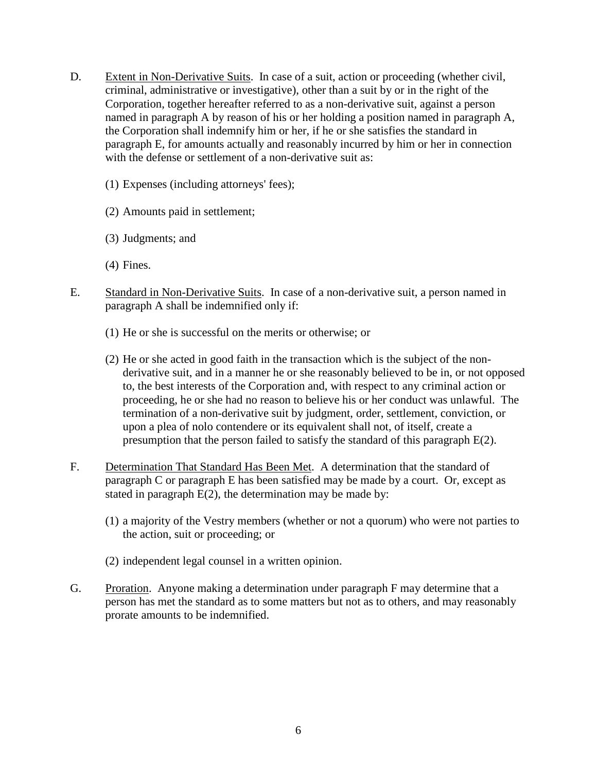- D. Extent in Non-Derivative Suits. In case of a suit, action or proceeding (whether civil, criminal, administrative or investigative), other than a suit by or in the right of the Corporation, together hereafter referred to as a non-derivative suit, against a person named in paragraph A by reason of his or her holding a position named in paragraph A, the Corporation shall indemnify him or her, if he or she satisfies the standard in paragraph E, for amounts actually and reasonably incurred by him or her in connection with the defense or settlement of a non-derivative suit as:
	- (1) Expenses (including attorneys' fees);
	- (2) Amounts paid in settlement;
	- (3) Judgments; and
	- (4) Fines.
- E. Standard in Non-Derivative Suits. In case of a non-derivative suit, a person named in paragraph A shall be indemnified only if:
	- (1) He or she is successful on the merits or otherwise; or
	- (2) He or she acted in good faith in the transaction which is the subject of the nonderivative suit, and in a manner he or she reasonably believed to be in, or not opposed to, the best interests of the Corporation and, with respect to any criminal action or proceeding, he or she had no reason to believe his or her conduct was unlawful. The termination of a non-derivative suit by judgment, order, settlement, conviction, or upon a plea of nolo contendere or its equivalent shall not, of itself, create a presumption that the person failed to satisfy the standard of this paragraph E(2).
- F. Determination That Standard Has Been Met. A determination that the standard of paragraph C or paragraph E has been satisfied may be made by a court. Or, except as stated in paragraph  $E(2)$ , the determination may be made by:
	- (1) a majority of the Vestry members (whether or not a quorum) who were not parties to the action, suit or proceeding; or
	- (2) independent legal counsel in a written opinion.
- G. Proration. Anyone making a determination under paragraph F may determine that a person has met the standard as to some matters but not as to others, and may reasonably prorate amounts to be indemnified.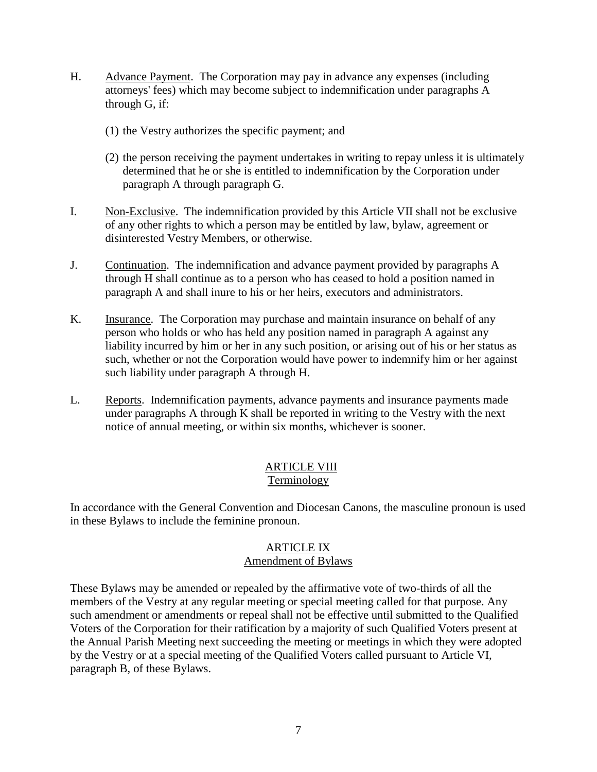- H. Advance Payment. The Corporation may pay in advance any expenses (including attorneys' fees) which may become subject to indemnification under paragraphs A through G, if:
	- (1) the Vestry authorizes the specific payment; and
	- (2) the person receiving the payment undertakes in writing to repay unless it is ultimately determined that he or she is entitled to indemnification by the Corporation under paragraph A through paragraph G.
- I. Non-Exclusive. The indemnification provided by this Article VII shall not be exclusive of any other rights to which a person may be entitled by law, bylaw, agreement or disinterested Vestry Members, or otherwise.
- J. Continuation. The indemnification and advance payment provided by paragraphs A through H shall continue as to a person who has ceased to hold a position named in paragraph A and shall inure to his or her heirs, executors and administrators.
- K. **Insurance.** The Corporation may purchase and maintain insurance on behalf of any person who holds or who has held any position named in paragraph A against any liability incurred by him or her in any such position, or arising out of his or her status as such, whether or not the Corporation would have power to indemnify him or her against such liability under paragraph A through H.
- L. Reports. Indemnification payments, advance payments and insurance payments made under paragraphs A through K shall be reported in writing to the Vestry with the next notice of annual meeting, or within six months, whichever is sooner.

# **ARTICLE VIII** Terminology

In accordance with the General Convention and Diocesan Canons, the masculine pronoun is used in these Bylaws to include the feminine pronoun.

# ARTICLE IX

# Amendment of Bylaws

These Bylaws may be amended or repealed by the affirmative vote of two-thirds of all the members of the Vestry at any regular meeting or special meeting called for that purpose. Any such amendment or amendments or repeal shall not be effective until submitted to the Qualified Voters of the Corporation for their ratification by a majority of such Qualified Voters present at the Annual Parish Meeting next succeeding the meeting or meetings in which they were adopted by the Vestry or at a special meeting of the Qualified Voters called pursuant to Article VI, paragraph B, of these Bylaws.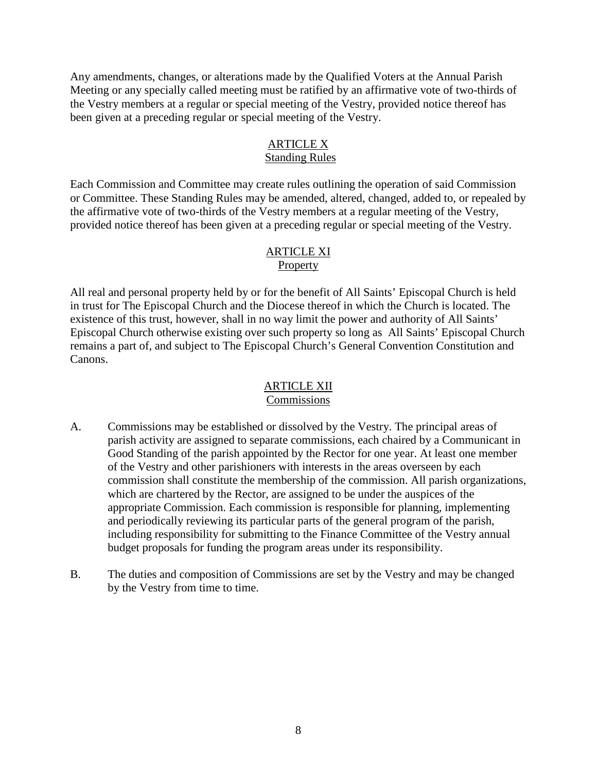Any amendments, changes, or alterations made by the Qualified Voters at the Annual Parish Meeting or any specially called meeting must be ratified by an affirmative vote of two-thirds of the Vestry members at a regular or special meeting of the Vestry, provided notice thereof has been given at a preceding regular or special meeting of the Vestry.

### ARTICLE X Standing Rules

Each Commission and Committee may create rules outlining the operation of said Commission or Committee. These Standing Rules may be amended, altered, changed, added to, or repealed by the affirmative vote of two-thirds of the Vestry members at a regular meeting of the Vestry, provided notice thereof has been given at a preceding regular or special meeting of the Vestry.

#### ARTICLE XI **Property**

All real and personal property held by or for the benefit of All Saints' Episcopal Church is held in trust for The Episcopal Church and the Diocese thereof in which the Church is located. The existence of this trust, however, shall in no way limit the power and authority of All Saints' Episcopal Church otherwise existing over such property so long as All Saints' Episcopal Church remains a part of, and subject to The Episcopal Church's General Convention Constitution and Canons.

# ARTICLE XII

# Commissions

- A. Commissions may be established or dissolved by the Vestry. The principal areas of parish activity are assigned to separate commissions, each chaired by a Communicant in Good Standing of the parish appointed by the Rector for one year. At least one member of the Vestry and other parishioners with interests in the areas overseen by each commission shall constitute the membership of the commission. All parish organizations, which are chartered by the Rector, are assigned to be under the auspices of the appropriate Commission. Each commission is responsible for planning, implementing and periodically reviewing its particular parts of the general program of the parish, including responsibility for submitting to the Finance Committee of the Vestry annual budget proposals for funding the program areas under its responsibility.
- B. The duties and composition of Commissions are set by the Vestry and may be changed by the Vestry from time to time.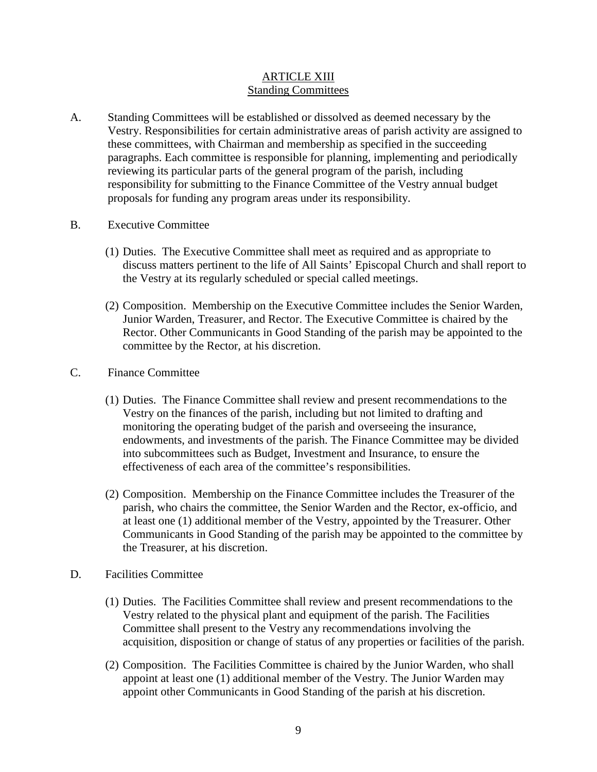# ARTICLE XIII Standing Committees

- A. Standing Committees will be established or dissolved as deemed necessary by the Vestry. Responsibilities for certain administrative areas of parish activity are assigned to these committees, with Chairman and membership as specified in the succeeding paragraphs. Each committee is responsible for planning, implementing and periodically reviewing its particular parts of the general program of the parish, including responsibility for submitting to the Finance Committee of the Vestry annual budget proposals for funding any program areas under its responsibility.
- B. Executive Committee
	- (1) Duties. The Executive Committee shall meet as required and as appropriate to discuss matters pertinent to the life of All Saints' Episcopal Church and shall report to the Vestry at its regularly scheduled or special called meetings.
	- (2) Composition. Membership on the Executive Committee includes the Senior Warden, Junior Warden, Treasurer, and Rector. The Executive Committee is chaired by the Rector. Other Communicants in Good Standing of the parish may be appointed to the committee by the Rector, at his discretion.
- C. Finance Committee
	- (1) Duties. The Finance Committee shall review and present recommendations to the Vestry on the finances of the parish, including but not limited to drafting and monitoring the operating budget of the parish and overseeing the insurance, endowments, and investments of the parish. The Finance Committee may be divided into subcommittees such as Budget, Investment and Insurance, to ensure the effectiveness of each area of the committee's responsibilities.
	- (2) Composition. Membership on the Finance Committee includes the Treasurer of the parish, who chairs the committee, the Senior Warden and the Rector, ex-officio, and at least one (1) additional member of the Vestry, appointed by the Treasurer. Other Communicants in Good Standing of the parish may be appointed to the committee by the Treasurer, at his discretion.
- D. Facilities Committee
	- (1) Duties. The Facilities Committee shall review and present recommendations to the Vestry related to the physical plant and equipment of the parish. The Facilities Committee shall present to the Vestry any recommendations involving the acquisition, disposition or change of status of any properties or facilities of the parish.
	- (2) Composition. The Facilities Committee is chaired by the Junior Warden, who shall appoint at least one (1) additional member of the Vestry. The Junior Warden may appoint other Communicants in Good Standing of the parish at his discretion.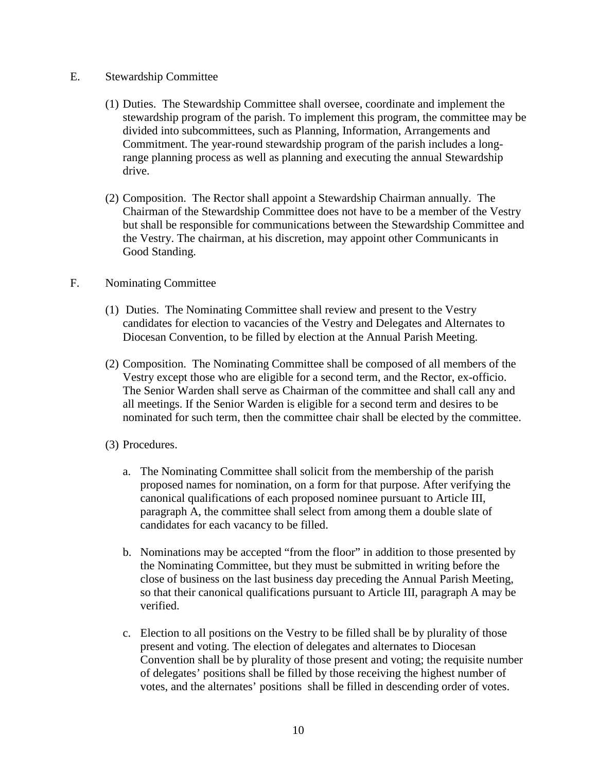#### E. Stewardship Committee

- (1) Duties. The Stewardship Committee shall oversee, coordinate and implement the stewardship program of the parish. To implement this program, the committee may be divided into subcommittees, such as Planning, Information, Arrangements and Commitment. The year-round stewardship program of the parish includes a longrange planning process as well as planning and executing the annual Stewardship drive.
- (2) Composition. The Rector shall appoint a Stewardship Chairman annually. The Chairman of the Stewardship Committee does not have to be a member of the Vestry but shall be responsible for communications between the Stewardship Committee and the Vestry. The chairman, at his discretion, may appoint other Communicants in Good Standing.

#### F. Nominating Committee

- (1) Duties. The Nominating Committee shall review and present to the Vestry candidates for election to vacancies of the Vestry and Delegates and Alternates to Diocesan Convention, to be filled by election at the Annual Parish Meeting.
- (2) Composition. The Nominating Committee shall be composed of all members of the Vestry except those who are eligible for a second term, and the Rector, ex-officio. The Senior Warden shall serve as Chairman of the committee and shall call any and all meetings. If the Senior Warden is eligible for a second term and desires to be nominated for such term, then the committee chair shall be elected by the committee.
- (3) Procedures.
	- a. The Nominating Committee shall solicit from the membership of the parish proposed names for nomination, on a form for that purpose. After verifying the canonical qualifications of each proposed nominee pursuant to Article III, paragraph A, the committee shall select from among them a double slate of candidates for each vacancy to be filled.
	- b. Nominations may be accepted "from the floor" in addition to those presented by the Nominating Committee, but they must be submitted in writing before the close of business on the last business day preceding the Annual Parish Meeting, so that their canonical qualifications pursuant to Article III, paragraph A may be verified.
	- c. Election to all positions on the Vestry to be filled shall be by plurality of those present and voting. The election of delegates and alternates to Diocesan Convention shall be by plurality of those present and voting; the requisite number of delegates' positions shall be filled by those receiving the highest number of votes, and the alternates' positions shall be filled in descending order of votes.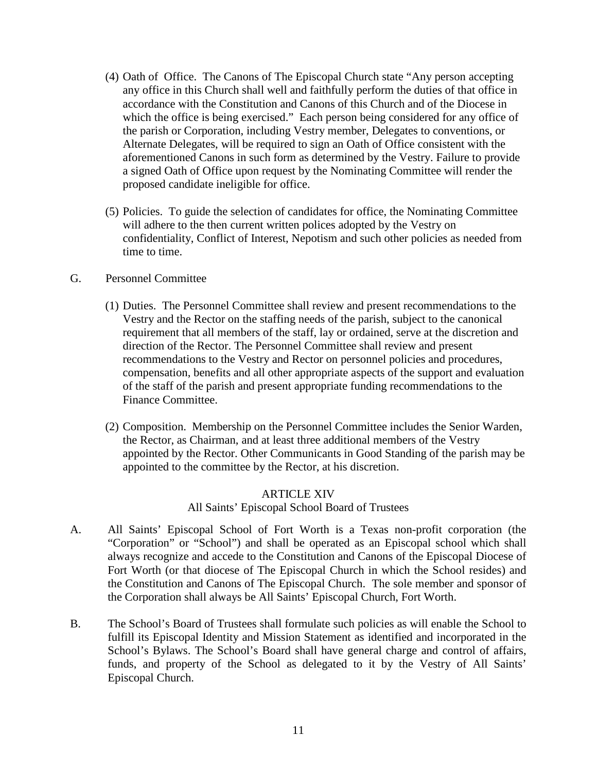- (4) Oath of Office. The Canons of The Episcopal Church state "Any person accepting any office in this Church shall well and faithfully perform the duties of that office in accordance with the Constitution and Canons of this Church and of the Diocese in which the office is being exercised." Each person being considered for any office of the parish or Corporation, including Vestry member, Delegates to conventions, or Alternate Delegates, will be required to sign an Oath of Office consistent with the aforementioned Canons in such form as determined by the Vestry. Failure to provide a signed Oath of Office upon request by the Nominating Committee will render the proposed candidate ineligible for office.
- (5) Policies. To guide the selection of candidates for office, the Nominating Committee will adhere to the then current written polices adopted by the Vestry on confidentiality, Conflict of Interest, Nepotism and such other policies as needed from time to time.

#### G. Personnel Committee

- (1) Duties. The Personnel Committee shall review and present recommendations to the Vestry and the Rector on the staffing needs of the parish, subject to the canonical requirement that all members of the staff, lay or ordained, serve at the discretion and direction of the Rector. The Personnel Committee shall review and present recommendations to the Vestry and Rector on personnel policies and procedures, compensation, benefits and all other appropriate aspects of the support and evaluation of the staff of the parish and present appropriate funding recommendations to the Finance Committee.
- (2) Composition. Membership on the Personnel Committee includes the Senior Warden, the Rector, as Chairman, and at least three additional members of the Vestry appointed by the Rector. Other Communicants in Good Standing of the parish may be appointed to the committee by the Rector, at his discretion.

# ARTICLE XIV

# All Saints' Episcopal School Board of Trustees

- A. All Saints' Episcopal School of Fort Worth is a Texas non-profit corporation (the "Corporation" or "School") and shall be operated as an Episcopal school which shall always recognize and accede to the Constitution and Canons of the Episcopal Diocese of Fort Worth (or that diocese of The Episcopal Church in which the School resides) and the Constitution and Canons of The Episcopal Church. The sole member and sponsor of the Corporation shall always be All Saints' Episcopal Church, Fort Worth.
- B. The School's Board of Trustees shall formulate such policies as will enable the School to fulfill its Episcopal Identity and Mission Statement as identified and incorporated in the School's Bylaws. The School's Board shall have general charge and control of affairs, funds, and property of the School as delegated to it by the Vestry of All Saints' Episcopal Church.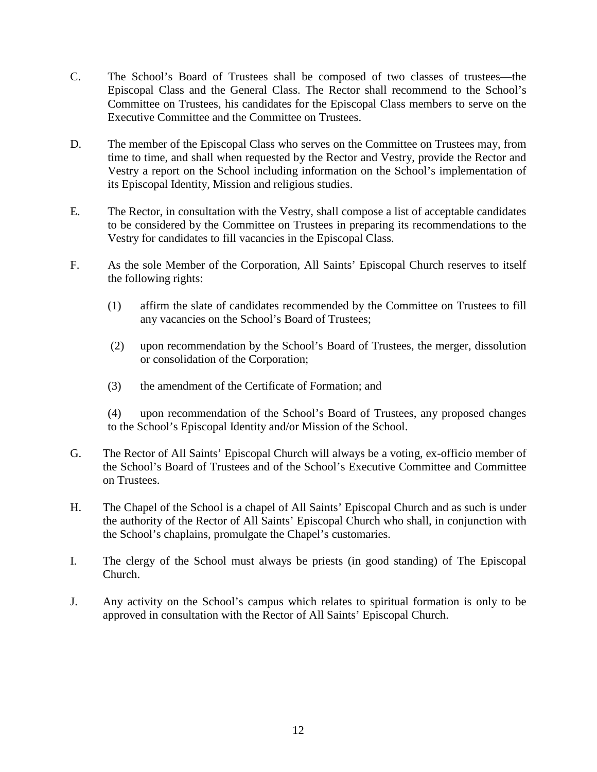- C. The School's Board of Trustees shall be composed of two classes of trustees—the Episcopal Class and the General Class. The Rector shall recommend to the School's Committee on Trustees, his candidates for the Episcopal Class members to serve on the Executive Committee and the Committee on Trustees.
- D. The member of the Episcopal Class who serves on the Committee on Trustees may, from time to time, and shall when requested by the Rector and Vestry, provide the Rector and Vestry a report on the School including information on the School's implementation of its Episcopal Identity, Mission and religious studies.
- E. The Rector, in consultation with the Vestry, shall compose a list of acceptable candidates to be considered by the Committee on Trustees in preparing its recommendations to the Vestry for candidates to fill vacancies in the Episcopal Class.
- F. As the sole Member of the Corporation, All Saints' Episcopal Church reserves to itself the following rights:
	- (1) affirm the slate of candidates recommended by the Committee on Trustees to fill any vacancies on the School's Board of Trustees;
	- (2) upon recommendation by the School's Board of Trustees, the merger, dissolution or consolidation of the Corporation;
	- (3) the amendment of the Certificate of Formation; and

(4) upon recommendation of the School's Board of Trustees, any proposed changes to the School's Episcopal Identity and/or Mission of the School.

- G. The Rector of All Saints' Episcopal Church will always be a voting, ex-officio member of the School's Board of Trustees and of the School's Executive Committee and Committee on Trustees.
- H. The Chapel of the School is a chapel of All Saints' Episcopal Church and as such is under the authority of the Rector of All Saints' Episcopal Church who shall, in conjunction with the School's chaplains, promulgate the Chapel's customaries.
- I. The clergy of the School must always be priests (in good standing) of The Episcopal Church.
- J. Any activity on the School's campus which relates to spiritual formation is only to be approved in consultation with the Rector of All Saints' Episcopal Church.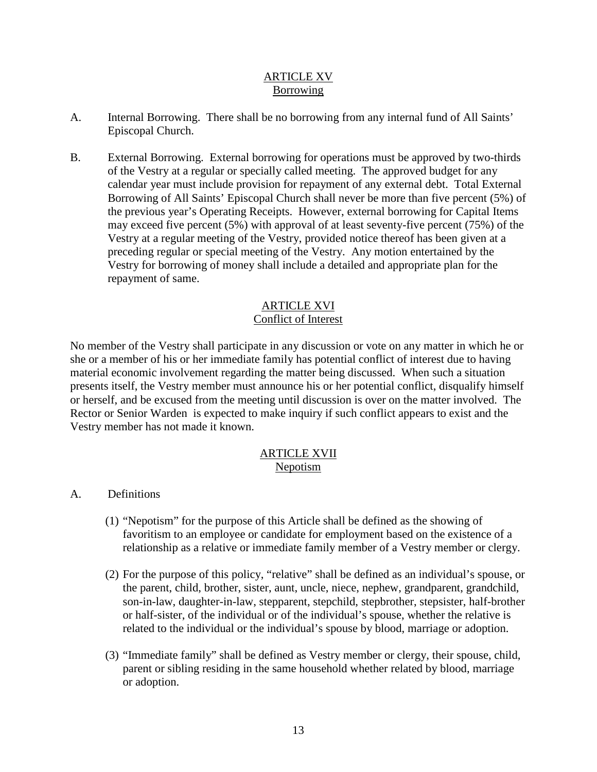#### ARTICLE XV Borrowing

- A. Internal Borrowing. There shall be no borrowing from any internal fund of All Saints' Episcopal Church.
- B. External Borrowing. External borrowing for operations must be approved by two-thirds of the Vestry at a regular or specially called meeting. The approved budget for any calendar year must include provision for repayment of any external debt. Total External Borrowing of All Saints' Episcopal Church shall never be more than five percent (5%) of the previous year's Operating Receipts. However, external borrowing for Capital Items may exceed five percent (5%) with approval of at least seventy-five percent (75%) of the Vestry at a regular meeting of the Vestry, provided notice thereof has been given at a preceding regular or special meeting of the Vestry. Any motion entertained by the Vestry for borrowing of money shall include a detailed and appropriate plan for the repayment of same.

# ARTICLE XVI

# Conflict of Interest

No member of the Vestry shall participate in any discussion or vote on any matter in which he or she or a member of his or her immediate family has potential conflict of interest due to having material economic involvement regarding the matter being discussed. When such a situation presents itself, the Vestry member must announce his or her potential conflict, disqualify himself or herself, and be excused from the meeting until discussion is over on the matter involved. The Rector or Senior Warden is expected to make inquiry if such conflict appears to exist and the Vestry member has not made it known.

### ARTICLE XVII Nepotism

# A. Definitions

- (1) "Nepotism" for the purpose of this Article shall be defined as the showing of favoritism to an employee or candidate for employment based on the existence of a relationship as a relative or immediate family member of a Vestry member or clergy.
- (2) For the purpose of this policy, "relative" shall be defined as an individual's spouse, or the parent, child, brother, sister, aunt, uncle, niece, nephew, grandparent, grandchild, son-in-law, daughter-in-law, stepparent, stepchild, stepbrother, stepsister, half-brother or half-sister, of the individual or of the individual's spouse, whether the relative is related to the individual or the individual's spouse by blood, marriage or adoption.
- (3) "Immediate family" shall be defined as Vestry member or clergy, their spouse, child, parent or sibling residing in the same household whether related by blood, marriage or adoption.